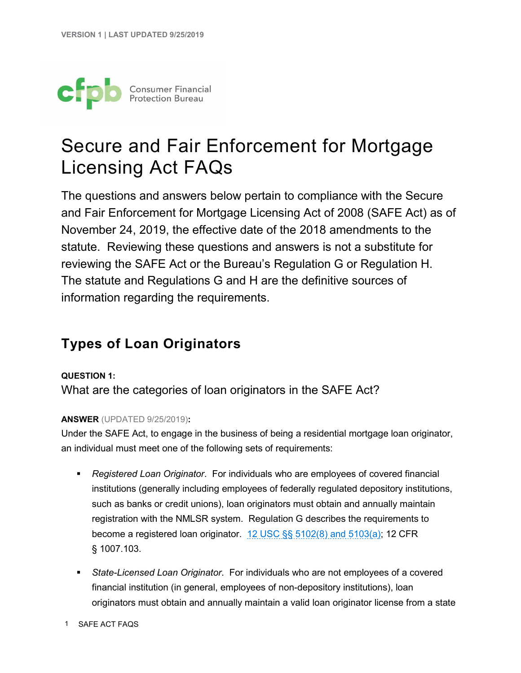

# Secure and Fair Enforcement for Mortgage Licensing Act FAQs

The questions and answers below pertain to compliance with the Secure and Fair Enforcement for Mortgage Licensing Act of 2008 (SAFE Act) as of November 24, 2019, the effective date of the 2018 amendments to the statute. Reviewing these questions and answers is not a substitute for reviewing the SAFE Act or the Bureau's Regulation G or Regulation H. The statute and Regulations G and H are the definitive sources of information regarding the requirements.

# **Types of Loan Originators**

<span id="page-0-0"></span>**QUESTION 1:** What are the categories of loan originators in the SAFE Act?

### **ANSWER** (UPDATED 9/25/2019)**:**

Under the SAFE Act, to engage in the business of being a residential mortgage loan originator, an individual must meet one of the following sets of requirements:

- *Registered Loan Originator*. For individuals who are employees of covered financial institutions (generally including employees of federally regulated depository institutions, such as banks or credit unions), loan originators must obtain and annually maintain registration with the NMLSR system. Regulation G describes the requirements to become a registered loan originator. 12 USC §§ [5102\(8\) and 5103\(a\);](https://uscode.house.gov/view.xhtml?path=/prelim@title12/chapter51&edition=prelim) 12 CFR § 1007.103.
- *State-Licensed Loan Originator*. For individuals who are not employees of a covered financial institution (in general, employees of non-depository institutions), loan originators must obtain and annually maintain a valid loan originator license from a state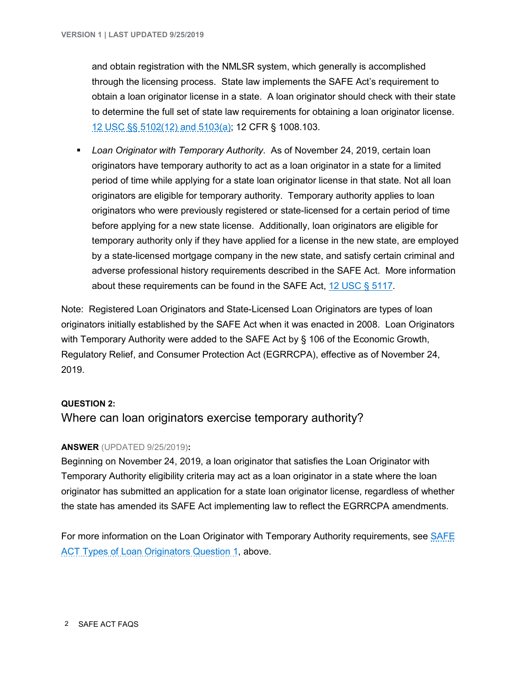and obtain registration with the NMLSR system, which generally is accomplished through the licensing process. State law implements the SAFE Act's requirement to obtain a loan originator license in a state. A loan originator should check with their state to determine the full set of state law requirements for obtaining a loan originator license. 12 USC §§ 5102(12) [and 5103\(a\);](https://uscode.house.gov/view.xhtml?path=/prelim@title12/chapter51&edition=prelim) 12 CFR § 1008.103.

 *Loan Originator with Temporary Authority*. As of November 24, 2019, certain loan originators have temporary authority to act as a loan originator in a state for a limited period of time while applying for a state loan originator license in that state. Not all loan originators are eligible for temporary authority. Temporary authority applies to loan originators who were previously registered or state-licensed for a certain period of time before applying for a new state license. Additionally, loan originators are eligible for temporary authority only if they have applied for a license in the new state, are employed by a state-licensed mortgage company in the new state, and satisfy certain criminal and adverse professional history requirements described in the SAFE Act. More information about these requirements can be found in the SAFE Act, [12 USC §](https://uscode.house.gov/view.xhtml?path=/prelim@title12/chapter51&edition=prelim) 5117.

Note: Registered Loan Originators and State-Licensed Loan Originators are types of loan originators initially established by the SAFE Act when it was enacted in 2008. Loan Originators with Temporary Authority were added to the SAFE Act by § 106 of the Economic Growth, Regulatory Relief, and Consumer Protection Act (EGRRCPA), effective as of November 24, 2019.

### **QUESTION 2:**

### Where can loan originators exercise temporary authority?

### **ANSWER** (UPDATED 9/25/2019)**:**

Beginning on November 24, 2019, a loan originator that satisfies the Loan Originator with Temporary Authority eligibility criteria may act as a loan originator in a state where the loan originator has submitted an application for a state loan originator license, regardless of whether the state has amended its SAFE Act implementing law to reflect the EGRRCPA amendments.

For more information on the Loan Originator with Temporary Authority requirements, see SAFE [ACT Types of Loan Originators Question 1,](#page-0-0) above.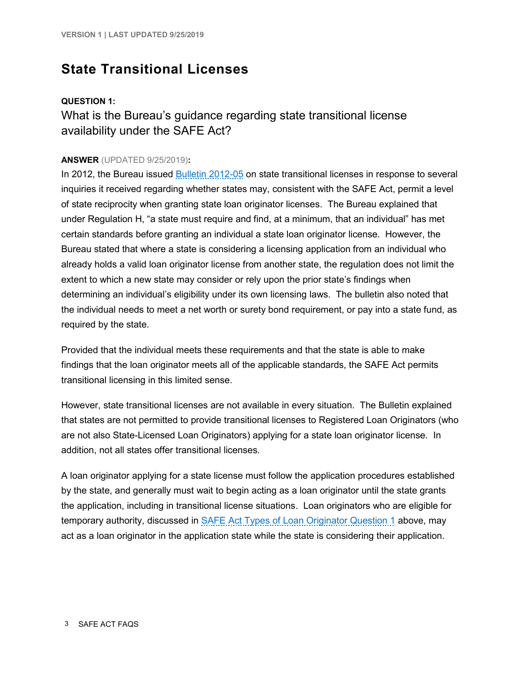# **State Transitional Licenses**

### <span id="page-2-0"></span>**QUESTION 1:**

### What is the Bureau's guidance regarding state transitional license availability under the SAFE Act?

#### **ANSWER** (UPDATED 9/25/2019)**:**

In 2012, the Bureau issued [Bulletin 2012-05](https://www.consumerfinance.gov/policy-compliance/guidance/supervisory-guidance/bulletin-SAFE-act-transitional-licensing-mortgage-loan-originators/) on state transitional licenses in response to several inquiries it received regarding whether states may, consistent with the SAFE Act, permit a level of state reciprocity when granting state loan originator licenses. The Bureau explained that under Regulation H, "a state must require and find, at a minimum, that an individual" has met certain standards before granting an individual a state loan originator license. However, the Bureau stated that where a state is considering a licensing application from an individual who already holds a valid loan originator license from another state, the regulation does not limit the extent to which a new state may consider or rely upon the prior state's findings when determining an individual's eligibility under its own licensing laws. The bulletin also noted that the individual needs to meet a net worth or surety bond requirement, or pay into a state fund, as required by the state.

Provided that the individual meets these requirements and that the state is able to make findings that the loan originator meets all of the applicable standards, the SAFE Act permits transitional licensing in this limited sense.

However, state transitional licenses are not available in every situation. The Bulletin explained that states are not permitted to provide transitional licenses to Registered Loan Originators (who are not also State-Licensed Loan Originators) applying for a state loan originator license. In addition, not all states offer transitional licenses.

A loan originator applying for a state license must follow the application procedures established by the state, and generally must wait to begin acting as a loan originator until the state grants the application, including in transitional license situations. Loan originators who are eligible for temporary authority, discussed in [SAFE Act Types of Loan Originator Question 1](#page-0-0) above, may act as a loan originator in the application state while the state is considering their application.